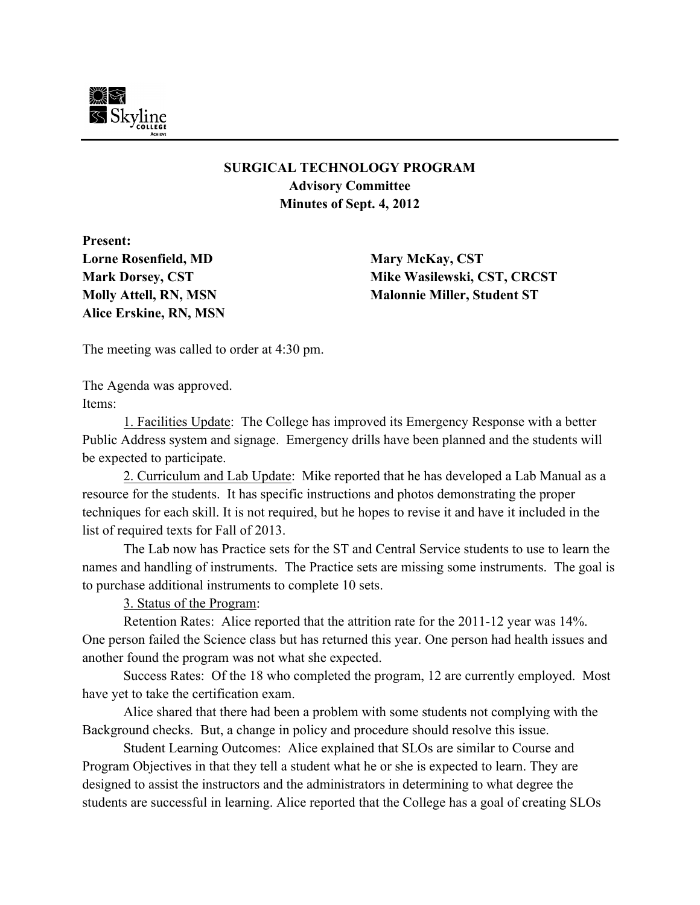

## **SURGICAL TECHNOLOGY PROGRAM Advisory Committee Minutes of Sept. 4, 2012**

**Present: Lorne Rosenfield, MD Mary McKay, CST Alice Erskine, RN, MSN**

**Mark Dorsey, CST Mike Wasilewski, CST, CRCST Molly Attell, RN, MSN Malonnie Miller, Student ST**

The meeting was called to order at 4:30 pm.

The Agenda was approved. Items:

1. Facilities Update: The College has improved its Emergency Response with a better Public Address system and signage. Emergency drills have been planned and the students will be expected to participate.

2. Curriculum and Lab Update: Mike reported that he has developed a Lab Manual as a resource for the students. It has specific instructions and photos demonstrating the proper techniques for each skill. It is not required, but he hopes to revise it and have it included in the list of required texts for Fall of 2013.

The Lab now has Practice sets for the ST and Central Service students to use to learn the names and handling of instruments. The Practice sets are missing some instruments. The goal is to purchase additional instruments to complete 10 sets.

3. Status of the Program:

Retention Rates: Alice reported that the attrition rate for the 2011-12 year was 14%. One person failed the Science class but has returned this year. One person had health issues and another found the program was not what she expected.

Success Rates: Of the 18 who completed the program, 12 are currently employed. Most have yet to take the certification exam.

Alice shared that there had been a problem with some students not complying with the Background checks. But, a change in policy and procedure should resolve this issue.

Student Learning Outcomes: Alice explained that SLOs are similar to Course and Program Objectives in that they tell a student what he or she is expected to learn. They are designed to assist the instructors and the administrators in determining to what degree the students are successful in learning. Alice reported that the College has a goal of creating SLOs